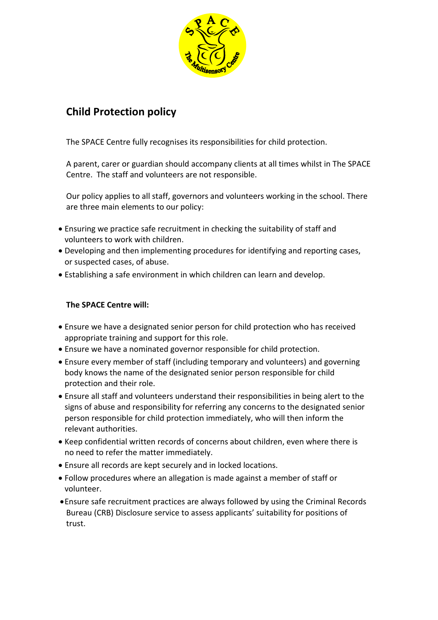

# **Child Protection policy**

The SPACE Centre fully recognises its responsibilities for child protection.

A parent, carer or guardian should accompany clients at all times whilst in The SPACE Centre. The staff and volunteers are not responsible.

Our policy applies to all staff, governors and volunteers working in the school. There are three main elements to our policy:

- Ensuring we practice safe recruitment in checking the suitability of staff and volunteers to work with children.
- Developing and then implementing procedures for identifying and reporting cases, or suspected cases, of abuse.
- Establishing a safe environment in which children can learn and develop.

## **The SPACE Centre will:**

- Ensure we have a designated senior person for child protection who has received appropriate training and support for this role.
- Ensure we have a nominated governor responsible for child protection.
- Ensure every member of staff (including temporary and volunteers) and governing body knows the name of the designated senior person responsible for child protection and their role.
- Ensure all staff and volunteers understand their responsibilities in being alert to the signs of abuse and responsibility for referring any concerns to the designated senior person responsible for child protection immediately, who will then inform the relevant authorities.
- Keep confidential written records of concerns about children, even where there is no need to refer the matter immediately.
- Ensure all records are kept securely and in locked locations.
- Follow procedures where an allegation is made against a member of staff or volunteer.
- Ensure safe recruitment practices are always followed by using the Criminal Records Bureau (CRB) Disclosure service to assess applicants' suitability for positions of trust.